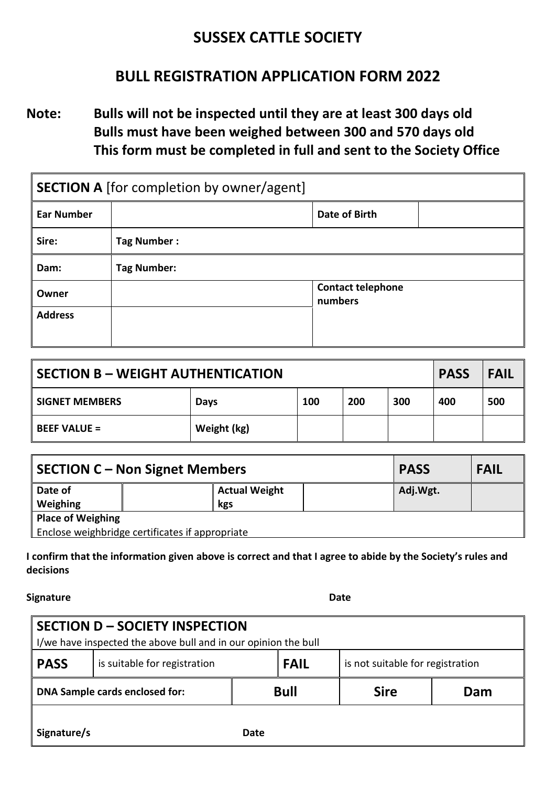#### **SUSSEX CATTLE SOCIETY**

#### **BULL REGISTRATION APPLICATION FORM 2022**

**Note: Bulls will not be inspected until they are at least 300 days old Bulls must have been weighed between 300 and 570 days old This form must be completed in full and sent to the Society Office**

| <b>SECTION A</b> [for completion by owner/agent] |                    |                                     |  |
|--------------------------------------------------|--------------------|-------------------------------------|--|
| <b>Ear Number</b>                                |                    | <b>Date of Birth</b>                |  |
| Sire:                                            | Tag Number:        |                                     |  |
| Dam:                                             | <b>Tag Number:</b> |                                     |  |
| Owner                                            |                    | <b>Contact telephone</b><br>numbers |  |
| <b>Address</b>                                   |                    |                                     |  |
|                                                  |                    |                                     |  |

| SECTION B – WEIGHT AUTHENTICATION |             |     |     |     | <b>PASS</b> | <b>FAIL</b> |
|-----------------------------------|-------------|-----|-----|-----|-------------|-------------|
| l SIGNET MEMBERS                  | Days        | 100 | 200 | 300 | 400         | 500         |
| <b>BEEF VALUE =</b>               | Weight (kg) |     |     |     |             |             |

| SECTION C – Non Signet Members                  | <b>PASS</b>          | <b>FAIL</b> |  |  |  |
|-------------------------------------------------|----------------------|-------------|--|--|--|
| Date of                                         | <b>Actual Weight</b> | Adj.Wgt.    |  |  |  |
| Weighing                                        | kgs                  |             |  |  |  |
| Place of Weighing                               |                      |             |  |  |  |
| Enclose weighbridge certificates if appropriate |                      |             |  |  |  |

**I confirm that the information given above is correct and that I agree to abide by the Society's rules and decisions** 

**Signature** Date

| SECTION D - SOCIETY INSPECTION<br>I I/we have inspected the above bull and in our opinion the bull |                              |             |             |                                  |     |
|----------------------------------------------------------------------------------------------------|------------------------------|-------------|-------------|----------------------------------|-----|
| <b>PASS</b>                                                                                        | is suitable for registration |             | <b>FAIL</b> | is not suitable for registration |     |
| DNA Sample cards enclosed for:                                                                     |                              | <b>Bull</b> |             | <b>Sire</b>                      | Dam |
| Signature/s<br>Date                                                                                |                              |             |             |                                  |     |